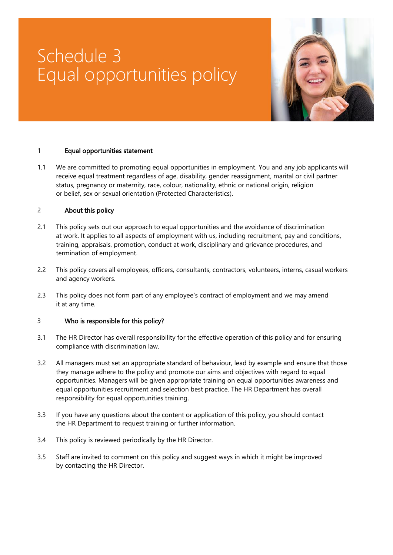# Schedule 3 Equal opportunities policy



#### 1 Equal opportunities statement

1.1 We are committed to promoting equal opportunities in employment. You and any job applicants will receive equal treatment regardless of age, disability, gender reassignment, marital or civil partner status, pregnancy or maternity, race, colour, nationality, ethnic or national origin, religion or belief, sex or sexual orientation (Protected Characteristics).

## 2 About this policy

- 2.1 This policy sets out our approach to equal opportunities and the avoidance of discrimination at work. It applies to all aspects of employment with us, including recruitment, pay and conditions, training, appraisals, promotion, conduct at work, disciplinary and grievance procedures, and termination of employment.
- 2.2 This policy covers all employees, officers, consultants, contractors, volunteers, interns, casual workers and agency workers.
- 2.3 This policy does not form part of any employee's contract of employment and we may amend it at any time.

#### 3 Who is responsible for this policy?

- 3.1 The HR Director has overall responsibility for the effective operation of this policy and for ensuring compliance with discrimination law.
- 3.2 All managers must set an appropriate standard of behaviour, lead by example and ensure that those they manage adhere to the policy and promote our aims and objectives with regard to equal opportunities. Managers will be given appropriate training on equal opportunities awareness and equal opportunities recruitment and selection best practice. The HR Department has overall responsibility for equal opportunities training.
- 3.3 If you have any questions about the content or application of this policy, you should contact the HR Department to request training or further information.
- 3.4 This policy is reviewed periodically by the HR Director.
- 3.5 Staff are invited to comment on this policy and suggest ways in which it might be improved by contacting the HR Director.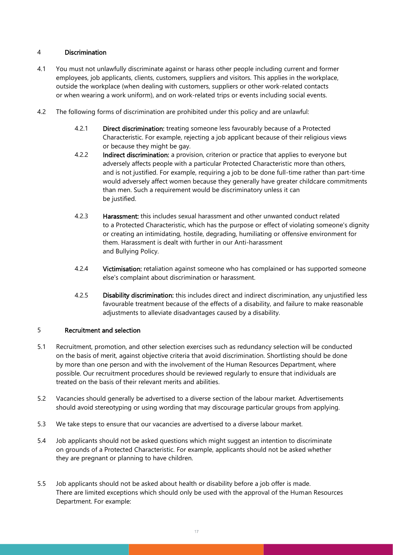## 4 Discrimination

- 4.1 You must not unlawfully discriminate against or harass other people including current and former employees, job applicants, clients, customers, suppliers and visitors. This applies in the workplace, outside the workplace (when dealing with customers, suppliers or other work-related contacts or when wearing a work uniform), and on work-related trips or events including social events.
- 4.2 The following forms of discrimination are prohibited under this policy and are unlawful:
	- 4.2.1 Direct discrimination: treating someone less favourably because of a Protected Characteristic. For example, rejecting a job applicant because of their religious views or because they might be gay.
	- 4.2.2 Indirect discrimination: a provision, criterion or practice that applies to everyone but adversely affects people with a particular Protected Characteristic more than others, and is not justified. For example, requiring a job to be done full-time rather than part-time would adversely affect women because they generally have greater childcare commitments than men. Such a requirement would be discriminatory unless it can be justified.
	- 4.2.3 **Harassment:** this includes sexual harassment and other unwanted conduct related to a Protected Characteristic, which has the purpose or effect of violating someone's dignity or creating an intimidating, hostile, degrading, humiliating or offensive environment for them. Harassment is dealt with further in our Anti-harassment and Bullying Policy.
	- 4.2.4 Victimisation: retaliation against someone who has complained or has supported someone else's complaint about discrimination or harassment.
	- 4.2.5 **Disability discrimination:** this includes direct and indirect discrimination, any unjustified less favourable treatment because of the effects of a disability, and failure to make reasonable adjustments to alleviate disadvantages caused by a disability.

#### 5 Recruitment and selection

- 5.1 Recruitment, promotion, and other selection exercises such as redundancy selection will be conducted on the basis of merit, against objective criteria that avoid discrimination. Shortlisting should be done by more than one person and with the involvement of the Human Resources Department, where possible. Our recruitment procedures should be reviewed regularly to ensure that individuals are treated on the basis of their relevant merits and abilities.
- 5.2 Vacancies should generally be advertised to a diverse section of the labour market. Advertisements should avoid stereotyping or using wording that may discourage particular groups from applying.
- 5.3 We take steps to ensure that our vacancies are advertised to a diverse labour market.
- 5.4 Job applicants should not be asked questions which might suggest an intention to discriminate on grounds of a Protected Characteristic. For example, applicants should not be asked whether they are pregnant or planning to have children.
- 5.5 Job applicants should not be asked about health or disability before a job offer is made. There are limited exceptions which should only be used with the approval of the Human Resources Department. For example: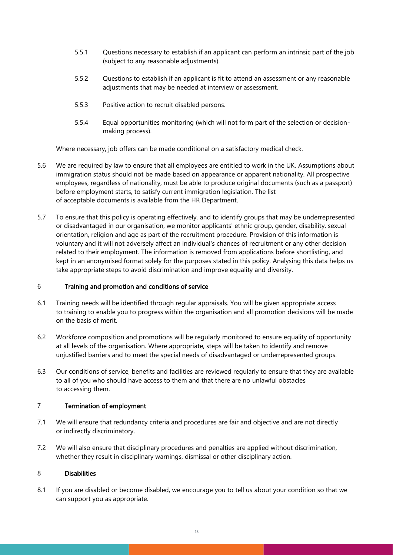- 5.5.1 Questions necessary to establish if an applicant can perform an intrinsic part of the job (subject to any reasonable adjustments).
- 5.5.2 Questions to establish if an applicant is fit to attend an assessment or any reasonable adjustments that may be needed at interview or assessment.
- 5.5.3 Positive action to recruit disabled persons.
- 5.5.4 Equal opportunities monitoring (which will not form part of the selection or decisionmaking process).

Where necessary, job offers can be made conditional on a satisfactory medical check.

- 5.6 We are required by law to ensure that all employees are entitled to work in the UK. Assumptions about immigration status should not be made based on appearance or apparent nationality. All prospective employees, regardless of nationality, must be able to produce original documents (such as a passport) before employment starts, to satisfy current immigration legislation. The list of acceptable documents is available from the HR Department.
- 5.7 To ensure that this policy is operating effectively, and to identify groups that may be underrepresented or disadvantaged in our organisation, we monitor applicants' ethnic group, gender, disability, sexual orientation, religion and age as part of the recruitment procedure. Provision of this information is voluntary and it will not adversely affect an individual's chances of recruitment or any other decision related to their employment. The information is removed from applications before shortlisting, and kept in an anonymised format solely for the purposes stated in this policy. Analysing this data helps us take appropriate steps to avoid discrimination and improve equality and diversity.

#### 6 Training and promotion and conditions of service

- 6.1 Training needs will be identified through regular appraisals. You will be given appropriate access to training to enable you to progress within the organisation and all promotion decisions will be made on the basis of merit.
- 6.2 Workforce composition and promotions will be regularly monitored to ensure equality of opportunity at all levels of the organisation. Where appropriate, steps will be taken to identify and remove unjustified barriers and to meet the special needs of disadvantaged or underrepresented groups.
- 6.3 Our conditions of service, benefits and facilities are reviewed regularly to ensure that they are available to all of you who should have access to them and that there are no unlawful obstacles to accessing them.

#### 7 Termination of employment

- 7.1 We will ensure that redundancy criteria and procedures are fair and objective and are not directly or indirectly discriminatory.
- 7.2 We will also ensure that disciplinary procedures and penalties are applied without discrimination, whether they result in disciplinary warnings, dismissal or other disciplinary action.

#### 8 Disabilities

8.1 If you are disabled or become disabled, we encourage you to tell us about your condition so that we can support you as appropriate.